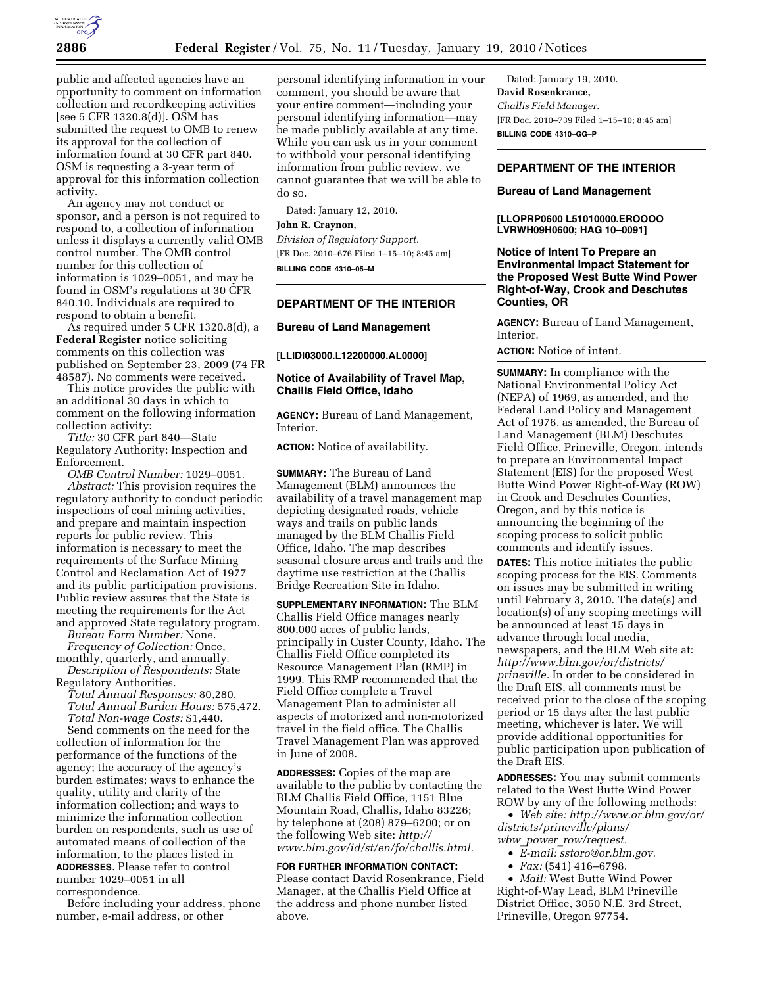

public and affected agencies have an opportunity to comment on information collection and recordkeeping activities [see 5 CFR 1320.8(d)]. OSM has submitted the request to OMB to renew its approval for the collection of information found at 30 CFR part 840. OSM is requesting a 3-year term of approval for this information collection activity.

An agency may not conduct or sponsor, and a person is not required to respond to, a collection of information unless it displays a currently valid OMB control number. The OMB control number for this collection of information is 1029–0051, and may be found in OSM's regulations at 30 CFR 840.10. Individuals are required to respond to obtain a benefit.

As required under 5 CFR 1320.8(d), a **Federal Register** notice soliciting comments on this collection was published on September 23, 2009 (74 FR 48587). No comments were received.

This notice provides the public with an additional 30 days in which to comment on the following information collection activity:

*Title:* 30 CFR part 840—State Regulatory Authority: Inspection and Enforcement.

*OMB Control Number:* 1029–0051. *Abstract:* This provision requires the regulatory authority to conduct periodic inspections of coal mining activities, and prepare and maintain inspection reports for public review. This information is necessary to meet the requirements of the Surface Mining Control and Reclamation Act of 1977 and its public participation provisions. Public review assures that the State is meeting the requirements for the Act and approved State regulatory program.

*Bureau Form Number:* None. *Frequency of Collection:* Once,

monthly, quarterly, and annually. *Description of Respondents:* State Regulatory Authorities.

*Total Annual Responses:* 80,280. *Total Annual Burden Hours:* 575,472. *Total Non-wage Costs:* \$1,440. Send comments on the need for the collection of information for the performance of the functions of the agency; the accuracy of the agency's burden estimates; ways to enhance the quality, utility and clarity of the information collection; and ways to minimize the information collection burden on respondents, such as use of automated means of collection of the information, to the places listed in **ADDRESSES**. Please refer to control number 1029–0051 in all correspondence.

Before including your address, phone number, e-mail address, or other

personal identifying information in your comment, you should be aware that your entire comment—including your personal identifying information—may be made publicly available at any time. While you can ask us in your comment to withhold your personal identifying information from public review, we cannot guarantee that we will be able to do so.

Dated: January 12, 2010.

### **John R. Craynon,**

*Division of Regulatory Support.*  [FR Doc. 2010–676 Filed 1–15–10; 8:45 am] **BILLING CODE 4310–05–M** 

## **DEPARTMENT OF THE INTERIOR**

## **Bureau of Land Management**

**[LLIDI03000.L12200000.AL0000]** 

# **Notice of Availability of Travel Map, Challis Field Office, Idaho**

**AGENCY:** Bureau of Land Management, Interior.

**ACTION:** Notice of availability.

**SUMMARY:** The Bureau of Land Management (BLM) announces the availability of a travel management map depicting designated roads, vehicle ways and trails on public lands managed by the BLM Challis Field Office, Idaho. The map describes seasonal closure areas and trails and the daytime use restriction at the Challis Bridge Recreation Site in Idaho.

**SUPPLEMENTARY INFORMATION:** The BLM Challis Field Office manages nearly 800,000 acres of public lands, principally in Custer County, Idaho. The Challis Field Office completed its Resource Management Plan (RMP) in 1999. This RMP recommended that the Field Office complete a Travel Management Plan to administer all aspects of motorized and non-motorized travel in the field office. The Challis Travel Management Plan was approved in June of 2008.

**ADDRESSES:** Copies of the map are available to the public by contacting the BLM Challis Field Office, 1151 Blue Mountain Road, Challis, Idaho 83226; by telephone at (208) 879–6200; or on the following Web site: *http:// www.blm.gov/id/st/en/fo/challis.html.* 

**FOR FURTHER INFORMATION CONTACT:**  Please contact David Rosenkrance, Field Manager, at the Challis Field Office at the address and phone number listed above.

Dated: January 19, 2010. **David Rosenkrance,**  *Challis Field Manager.*  [FR Doc. 2010–739 Filed 1–15–10; 8:45 am] **BILLING CODE 4310–GG–P** 

# **DEPARTMENT OF THE INTERIOR**

### **Bureau of Land Management**

**[LLOPRP0600 L51010000.EROOOO LVRWH09H0600; HAG 10–0091]** 

**Notice of Intent To Prepare an Environmental Impact Statement for the Proposed West Butte Wind Power Right-of-Way, Crook and Deschutes Counties, OR** 

**AGENCY:** Bureau of Land Management, Interior.

**ACTION:** Notice of intent.

**SUMMARY:** In compliance with the National Environmental Policy Act (NEPA) of 1969, as amended, and the Federal Land Policy and Management Act of 1976, as amended, the Bureau of Land Management (BLM) Deschutes Field Office, Prineville, Oregon, intends to prepare an Environmental Impact Statement (EIS) for the proposed West Butte Wind Power Right-of-Way (ROW) in Crook and Deschutes Counties, Oregon, and by this notice is announcing the beginning of the scoping process to solicit public comments and identify issues.

**DATES:** This notice initiates the public scoping process for the EIS. Comments on issues may be submitted in writing until February 3, 2010. The date(s) and location(s) of any scoping meetings will be announced at least 15 days in advance through local media, newspapers, and the BLM Web site at: *http://www.blm.gov/or/districts/ prineville.* In order to be considered in the Draft EIS, all comments must be received prior to the close of the scoping period or 15 days after the last public meeting, whichever is later. We will provide additional opportunities for public participation upon publication of the Draft EIS.

**ADDRESSES:** You may submit comments related to the West Butte Wind Power ROW by any of the following methods:

• *Web site: http://www.or.blm.gov/or/ districts/prineville/plans/ wbw*\_*power*\_*row/request.* 

- *E-mail: sstoro@or.blm.gov.*
- *Fax:* (541) 416–6798.
- *Mail:* West Butte Wind Power

Right-of-Way Lead, BLM Prineville District Office, 3050 N.E. 3rd Street, Prineville, Oregon 97754.